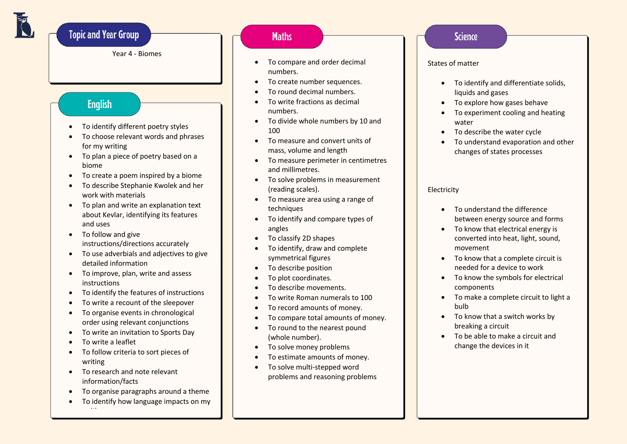# **Topic and Year Group**

Year 4 - Biomes

# **English**

- To identify different poetry styles
- To choose relevant words and phrases for my writing
- To plan a piece of poetry based on a biome
- To create a poem inspired by a biome
- To describe Stephanie Kwolek and her work with materials
- To plan and write an explanation text about Kevlar, identifying its features and uses
- To follow and give instructions/directions accurately
- To use adverbials and adjectives to give detailed information
- To improve, plan, write and assess instructions
- To identify the features of instructions
- To write a recount of the sleepover
- To organise events in chronological order using relevant conjunctions
- To write an invitation to Sports Day
- To write a leaflet

•

- To follow criteria to sort pieces of writing
- To research and note relevant information/facts
- To organise paragraphs around a theme
- To identify how language impacts on my writing

## **Maths**

- To compare and order decimal numbers.
- To create number sequences.
- To round decimal numbers.
- To write fractions as decimal numbers.
- To divide whole numbers by 10 and 100
- To measure and convert units of mass, volume and length
- To measure perimeter in centimetres and millimetres.
- To solve problems in measurement (reading scales).
- To measure area using a range of techniques
- To identify and compare types of angles
- To classify 2D shapes
- To identify, draw and complete symmetrical figures
- To describe position
- To plot coordinates.
- To describe movements.
- To write Roman numerals to 100
- To record amounts of money.
- To compare total amounts of money.
- To round to the nearest pound (whole number).
- To solve money problems
- To estimate amounts of money.
- To solve multi-stepped word problems and reasoning problems

## **Science**

#### States of matter

- To identify and differentiate solids, liquids and gases
- To explore how gases behave
- To experiment cooling and heating water
- To describe the water cycle
- To understand evaporation and other changes of states processes

#### Electricity

- To understand the difference between energy source and forms
- To know that electrical energy is converted into heat, light, sound, movement
- To know that a complete circuit is needed for a device to work
- To know the symbols for electrical components
- To make a complete circuit to light a bulb
- To know that a switch works by breaking a circuit
- To be able to make a circuit and change the devices in it